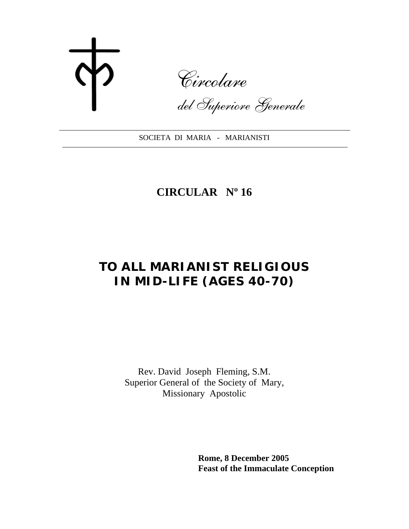Circolare

del Superiore Generale

SOCIETA DI MARIA - MARIANISTI

## **CIRCULAR Nº 16**

# **TO ALL MARIANIST RELIGIOUS IN MID-LIFE (AGES 40-70)**

Rev. David Joseph Fleming, S.M. Superior General of the Society of Mary, Missionary Apostolic

> **Rome, 8 December 2005 Feast of the Immaculate Conception**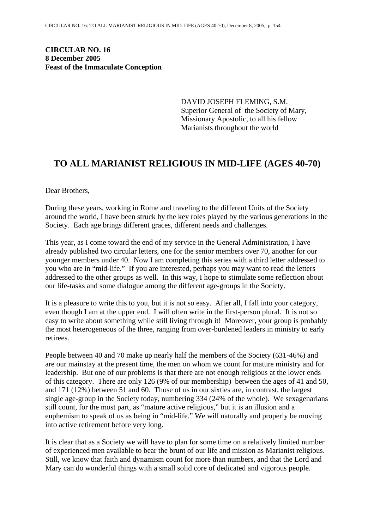**CIRCULAR NO. 16 8 December 2005 Feast of the Immaculate Conception**

> DAVID JOSEPH FLEMING, S.M. Superior General of the Society of Mary, Missionary Apostolic, to all his fellow Marianists throughout the world

### **TO ALL MARIANIST RELIGIOUS IN MID-LIFE (AGES 40-70)**

Dear Brothers,

During these years, working in Rome and traveling to the different Units of the Society around the world, I have been struck by the key roles played by the various generations in the Society. Each age brings different graces, different needs and challenges.

This year, as I come toward the end of my service in the General Administration, I have already published two circular letters, one for the senior members over 70, another for our younger members under 40. Now I am completing this series with a third letter addressed to you who are in "mid-life." If you are interested, perhaps you may want to read the letters addressed to the other groups as well. In this way, I hope to stimulate some reflection about our life-tasks and some dialogue among the different age-groups in the Society.

It is a pleasure to write this to you, but it is not so easy. After all, I fall into your category, even though I am at the upper end. I will often write in the first-person plural. It is not so easy to write about something while still living through it! Moreover, your group is probably the most heterogeneous of the three, ranging from over-burdened leaders in ministry to early retirees.

People between 40 and 70 make up nearly half the members of the Society (631-46%) and are our mainstay at the present time, the men on whom we count for mature ministry and for leadership. But one of our problems is that there are not enough religious at the lower ends of this category. There are only 126 (9% of our membership) between the ages of 41 and 50, and 171 (12%) between 51 and 60. Those of us in our sixties are, in contrast, the largest single age-group in the Society today, numbering 334 (24% of the whole). We sexagenarians still count, for the most part, as "mature active religious," but it is an illusion and a euphemism to speak of us as being in "mid-life." We will naturally and properly be moving into active retirement before very long.

It is clear that as a Society we will have to plan for some time on a relatively limited number of experienced men available to bear the brunt of our life and mission as Marianist religious. Still, we know that faith and dynamism count for more than numbers, and that the Lord and Mary can do wonderful things with a small solid core of dedicated and vigorous people.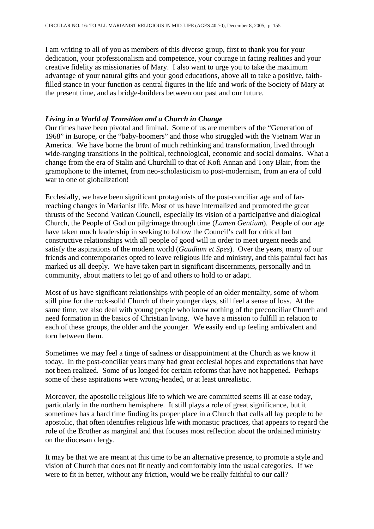I am writing to all of you as members of this diverse group, first to thank you for your dedication, your professionalism and competence, your courage in facing realities and your creative fidelity as missionaries of Mary. I also want to urge you to take the maximum advantage of your natural gifts and your good educations, above all to take a positive, faithfilled stance in your function as central figures in the life and work of the Society of Mary at the present time, and as bridge-builders between our past and our future.

#### *Living in a World of Transition and a Church in Change*

Our times have been pivotal and liminal. Some of us are members of the "Generation of 1968" in Europe, or the "baby-boomers" and those who struggled with the Vietnam War in America. We have borne the brunt of much rethinking and transformation, lived through wide-ranging transitions in the political, technological, economic and social domains. What a change from the era of Stalin and Churchill to that of Kofi Annan and Tony Blair, from the gramophone to the internet, from neo-scholasticism to post-modernism, from an era of cold war to one of globalization!

Ecclesially, we have been significant protagonists of the post-conciliar age and of farreaching changes in Marianist life. Most of us have internalized and promoted the great thrusts of the Second Vatican Council, especially its vision of a participative and dialogical Church, the People of God on pilgrimage through time (*Lumen Gentium*). People of our age have taken much leadership in seeking to follow the Council's call for critical but constructive relationships with all people of good will in order to meet urgent needs and satisfy the aspirations of the modern world (*Gaudium et Spes*). Over the years, many of our friends and contemporaries opted to leave religious life and ministry, and this painful fact has marked us all deeply. We have taken part in significant discernments, personally and in community, about matters to let go of and others to hold to or adapt.

Most of us have significant relationships with people of an older mentality, some of whom still pine for the rock-solid Church of their younger days, still feel a sense of loss. At the same time, we also deal with young people who know nothing of the preconciliar Church and need formation in the basics of Christian living. We have a mission to fulfill in relation to each of these groups, the older and the younger. We easily end up feeling ambivalent and torn between them.

Sometimes we may feel a tinge of sadness or disappointment at the Church as we know it today. In the post-conciliar years many had great ecclesial hopes and expectations that have not been realized. Some of us longed for certain reforms that have not happened. Perhaps some of these aspirations were wrong-headed, or at least unrealistic.

Moreover, the apostolic religious life to which we are committed seems ill at ease today, particularly in the northern hemisphere. It still plays a role of great significance, but it sometimes has a hard time finding its proper place in a Church that calls all lay people to be apostolic, that often identifies religious life with monastic practices, that appears to regard the role of the Brother as marginal and that focuses most reflection about the ordained ministry on the diocesan clergy.

It may be that we are meant at this time to be an alternative presence, to promote a style and vision of Church that does not fit neatly and comfortably into the usual categories. If we were to fit in better, without any friction, would we be really faithful to our call?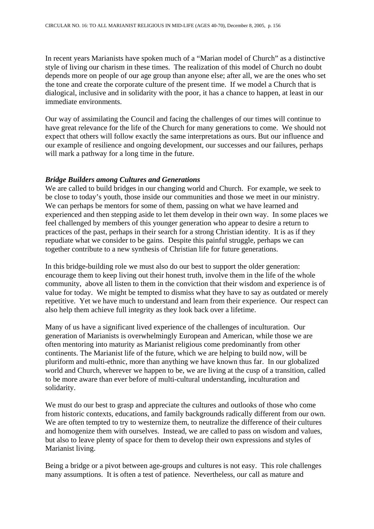In recent years Marianists have spoken much of a "Marian model of Church" as a distinctive style of living our charism in these times. The realization of this model of Church no doubt depends more on people of our age group than anyone else; after all, we are the ones who set the tone and create the corporate culture of the present time. If we model a Church that is dialogical, inclusive and in solidarity with the poor, it has a chance to happen, at least in our immediate environments.

Our way of assimilating the Council and facing the challenges of our times will continue to have great relevance for the life of the Church for many generations to come. We should not expect that others will follow exactly the same interpretations as ours. But our influence and our example of resilience and ongoing development, our successes and our failures, perhaps will mark a pathway for a long time in the future.

#### *Bridge Builders among Cultures and Generations*

We are called to build bridges in our changing world and Church. For example, we seek to be close to today's youth, those inside our communities and those we meet in our ministry. We can perhaps be mentors for some of them, passing on what we have learned and experienced and then stepping aside to let them develop in their own way. In some places we feel challenged by members of this younger generation who appear to desire a return to practices of the past, perhaps in their search for a strong Christian identity. It is as if they repudiate what we consider to be gains. Despite this painful struggle, perhaps we can together contribute to a new synthesis of Christian life for future generations.

In this bridge-building role we must also do our best to support the older generation: encourage them to keep living out their honest truth, involve them in the life of the whole community, above all listen to them in the conviction that their wisdom and experience is of value for today. We might be tempted to dismiss what they have to say as outdated or merely repetitive. Yet we have much to understand and learn from their experience. Our respect can also help them achieve full integrity as they look back over a lifetime.

Many of us have a significant lived experience of the challenges of inculturation. Our generation of Marianists is overwhelmingly European and American, while those we are often mentoring into maturity as Marianist religious come predominantly from other continents. The Marianist life of the future, which we are helping to build now, will be pluriform and multi-ethnic, more than anything we have known thus far. In our globalized world and Church, wherever we happen to be, we are living at the cusp of a transition, called to be more aware than ever before of multi-cultural understanding, inculturation and solidarity.

We must do our best to grasp and appreciate the cultures and outlooks of those who come from historic contexts, educations, and family backgrounds radically different from our own. We are often tempted to try to westernize them, to neutralize the difference of their cultures and homogenize them with ourselves. Instead, we are called to pass on wisdom and values, but also to leave plenty of space for them to develop their own expressions and styles of Marianist living.

Being a bridge or a pivot between age-groups and cultures is not easy. This role challenges many assumptions. It is often a test of patience. Nevertheless, our call as mature and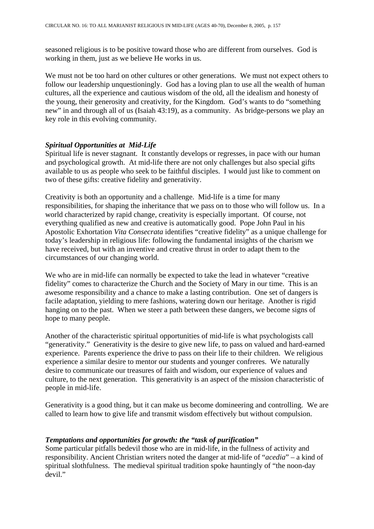seasoned religious is to be positive toward those who are different from ourselves. God is working in them, just as we believe He works in us.

We must not be too hard on other cultures or other generations. We must not expect others to follow our leadership unquestioningly. God has a loving plan to use all the wealth of human cultures, all the experience and cautious wisdom of the old, all the idealism and honesty of the young, their generosity and creativity, for the Kingdom. God's wants to do "something new" in and through all of us (Isaiah 43:19), as a community. As bridge-persons we play an key role in this evolving community.

#### *Spiritual Opportunities at Mid-Life*

Spiritual life is never stagnant. It constantly develops or regresses, in pace with our human and psychological growth. At mid-life there are not only challenges but also special gifts available to us as people who seek to be faithful disciples. I would just like to comment on two of these gifts: creative fidelity and generativity.

Creativity is both an opportunity and a challenge. Mid-life is a time for many responsibilities, for shaping the inheritance that we pass on to those who will follow us. In a world characterized by rapid change, creativity is especially important. Of course, not everything qualified as new and creative is automatically good. Pope John Paul in his Apostolic Exhortation *Vita Consecrata* identifies "creative fidelity" as a unique challenge for today's leadership in religious life: following the fundamental insights of the charism we have received, but with an inventive and creative thrust in order to adapt them to the circumstances of our changing world.

We who are in mid-life can normally be expected to take the lead in whatever "creative fidelity" comes to characterize the Church and the Society of Mary in our time. This is an awesome responsibility and a chance to make a lasting contribution. One set of dangers is facile adaptation, yielding to mere fashions, watering down our heritage. Another is rigid hanging on to the past. When we steer a path between these dangers, we become signs of hope to many people.

Another of the characteristic spiritual opportunities of mid-life is what psychologists call "generativity." Generativity is the desire to give new life, to pass on valued and hard-earned experience. Parents experience the drive to pass on their life to their children. We religious experience a similar desire to mentor our students and younger confreres. We naturally desire to communicate our treasures of faith and wisdom, our experience of values and culture, to the next generation. This generativity is an aspect of the mission characteristic of people in mid-life.

Generativity is a good thing, but it can make us become domineering and controlling. We are called to learn how to give life and transmit wisdom effectively but without compulsion.

#### *Temptations and opportunities for growth: the "task of purification"*

Some particular pitfalls bedevil those who are in mid-life, in the fullness of activity and responsibility. Ancient Christian writers noted the danger at mid-life of "*acedia*" – a kind of spiritual slothfulness. The medieval spiritual tradition spoke hauntingly of "the noon-day devil."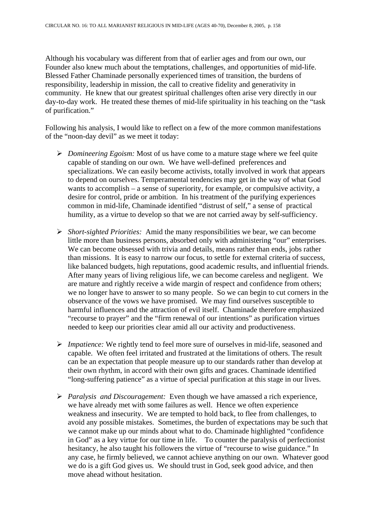Although his vocabulary was different from that of earlier ages and from our own, our Founder also knew much about the temptations, challenges, and opportunities of mid-life. Blessed Father Chaminade personally experienced times of transition, the burdens of responsibility, leadership in mission, the call to creative fidelity and generativity in community. He knew that our greatest spiritual challenges often arise very directly in our day-to-day work. He treated these themes of mid-life spirituality in his teaching on the "task of purification."

Following his analysis, I would like to reflect on a few of the more common manifestations of the "noon-day devil" as we meet it today:

- ¾ *Domineering Egoism:* Most of us have come to a mature stage where we feel quite capable of standing on our own. We have well-defined preferences and specializations. We can easily become activists, totally involved in work that appears to depend on ourselves. Temperamental tendencies may get in the way of what God wants to accomplish – a sense of superiority, for example, or compulsive activity, a desire for control, pride or ambition. In his treatment of the purifying experiences common in mid-life, Chaminade identified "distrust of self," a sense of practical humility, as a virtue to develop so that we are not carried away by self-sufficiency.
- ¾ *Short-sighted Priorities:* Amid the many responsibilities we bear, we can become little more than business persons, absorbed only with administering "our" enterprises. We can become obsessed with trivia and details, means rather than ends, jobs rather than missions. It is easy to narrow our focus, to settle for external criteria of success, like balanced budgets, high reputations, good academic results, and influential friends. After many years of living religious life, we can become careless and negligent. We are mature and rightly receive a wide margin of respect and confidence from others; we no longer have to answer to so many people. So we can begin to cut corners in the observance of the vows we have promised. We may find ourselves susceptible to harmful influences and the attraction of evil itself. Chaminade therefore emphasized "recourse to prayer" and the "firm renewal of our intentions" as purification virtues needed to keep our priorities clear amid all our activity and productiveness.
- ¾ *Impatience:* We rightly tend to feel more sure of ourselves in mid-life, seasoned and capable. We often feel irritated and frustrated at the limitations of others. The result can be an expectation that people measure up to our standards rather than develop at their own rhythm, in accord with their own gifts and graces. Chaminade identified "long-suffering patience" as a virtue of special purification at this stage in our lives.
- ¾ *Paralysis and Discouragement:* Even though we have amassed a rich experience, we have already met with some failures as well. Hence we often experience weakness and insecurity. We are tempted to hold back, to flee from challenges, to avoid any possible mistakes. Sometimes, the burden of expectations may be such that we cannot make up our minds about what to do. Chaminade highlighted "confidence in God" as a key virtue for our time in life. To counter the paralysis of perfectionist hesitancy, he also taught his followers the virtue of "recourse to wise guidance." In any case, he firmly believed, we cannot achieve anything on our own. Whatever good we do is a gift God gives us. We should trust in God, seek good advice, and then move ahead without hesitation.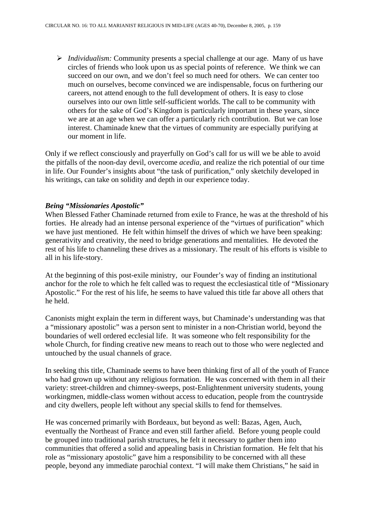¾ *Individualism:* Community presents a special challenge at our age. Many of us have circles of friends who look upon us as special points of reference. We think we can succeed on our own, and we don't feel so much need for others. We can center too much on ourselves, become convinced we are indispensable, focus on furthering our careers, not attend enough to the full development of others. It is easy to close ourselves into our own little self-sufficient worlds. The call to be community with others for the sake of God's Kingdom is particularly important in these years, since we are at an age when we can offer a particularly rich contribution. But we can lose interest. Chaminade knew that the virtues of community are especially purifying at our moment in life.

Only if we reflect consciously and prayerfully on God's call for us will we be able to avoid the pitfalls of the noon-day devil, overcome *acedia*, and realize the rich potential of our time in life. Our Founder's insights about "the task of purification," only sketchily developed in his writings, can take on solidity and depth in our experience today.

#### *Being "Missionaries Apostolic"*

When Blessed Father Chaminade returned from exile to France, he was at the threshold of his forties. He already had an intense personal experience of the "virtues of purification" which we have just mentioned. He felt within himself the drives of which we have been speaking: generativity and creativity, the need to bridge generations and mentalities. He devoted the rest of his life to channeling these drives as a missionary. The result of his efforts is visible to all in his life-story.

At the beginning of this post-exile ministry, our Founder's way of finding an institutional anchor for the role to which he felt called was to request the ecclesiastical title of "Missionary Apostolic." For the rest of his life, he seems to have valued this title far above all others that he held.

Canonists might explain the term in different ways, but Chaminade's understanding was that a "missionary apostolic" was a person sent to minister in a non-Christian world, beyond the boundaries of well ordered ecclesial life. It was someone who felt responsibility for the whole Church, for finding creative new means to reach out to those who were neglected and untouched by the usual channels of grace.

In seeking this title, Chaminade seems to have been thinking first of all of the youth of France who had grown up without any religious formation. He was concerned with them in all their variety: street-children and chimney-sweeps, post-Enlightenment university students, young workingmen, middle-class women without access to education, people from the countryside and city dwellers, people left without any special skills to fend for themselves.

He was concerned primarily with Bordeaux, but beyond as well: Bazas, Agen, Auch, eventually the Northeast of France and even still farther afield. Before young people could be grouped into traditional parish structures, he felt it necessary to gather them into communities that offered a solid and appealing basis in Christian formation. He felt that his role as "missionary apostolic" gave him a responsibility to be concerned with all these people, beyond any immediate parochial context. "I will make them Christians," he said in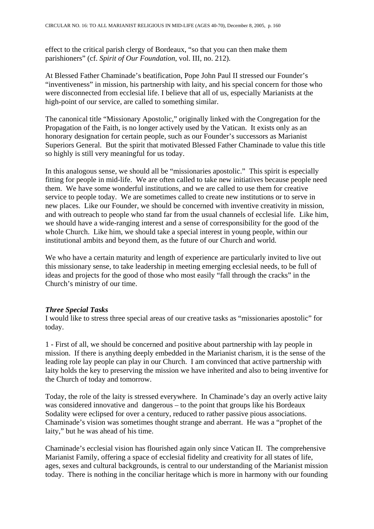effect to the critical parish clergy of Bordeaux, "so that you can then make them parishioners" (cf. *Spirit of Our Foundation*, vol. III, no. 212).

At Blessed Father Chaminade's beatification, Pope John Paul II stressed our Founder's "inventiveness" in mission, his partnership with laity, and his special concern for those who were disconnected from ecclesial life. I believe that all of us, especially Marianists at the high-point of our service, are called to something similar.

The canonical title "Missionary Apostolic," originally linked with the Congregation for the Propagation of the Faith, is no longer actively used by the Vatican. It exists only as an honorary designation for certain people, such as our Founder's successors as Marianist Superiors General. But the spirit that motivated Blessed Father Chaminade to value this title so highly is still very meaningful for us today.

In this analogous sense, we should all be "missionaries apostolic." This spirit is especially fitting for people in mid-life. We are often called to take new initiatives because people need them. We have some wonderful institutions, and we are called to use them for creative service to people today. We are sometimes called to create new institutions or to serve in new places. Like our Founder, we should be concerned with inventive creativity in mission, and with outreach to people who stand far from the usual channels of ecclesial life. Like him, we should have a wide-ranging interest and a sense of corresponsibility for the good of the whole Church. Like him, we should take a special interest in young people, within our institutional ambits and beyond them, as the future of our Church and world.

We who have a certain maturity and length of experience are particularly invited to live out this missionary sense, to take leadership in meeting emerging ecclesial needs, to be full of ideas and projects for the good of those who most easily "fall through the cracks" in the Church's ministry of our time.

#### *Three Special Tasks*

I would like to stress three special areas of our creative tasks as "missionaries apostolic" for today.

1 - First of all, we should be concerned and positive about partnership with lay people in mission. If there is anything deeply embedded in the Marianist charism, it is the sense of the leading role lay people can play in our Church. I am convinced that active partnership with laity holds the key to preserving the mission we have inherited and also to being inventive for the Church of today and tomorrow.

Today, the role of the laity is stressed everywhere. In Chaminade's day an overly active laity was considered innovative and dangerous – to the point that groups like his Bordeaux Sodality were eclipsed for over a century, reduced to rather passive pious associations. Chaminade's vision was sometimes thought strange and aberrant. He was a "prophet of the laity," but he was ahead of his time.

Chaminade's ecclesial vision has flourished again only since Vatican II. The comprehensive Marianist Family, offering a space of ecclesial fidelity and creativity for all states of life, ages, sexes and cultural backgrounds, is central to our understanding of the Marianist mission today. There is nothing in the conciliar heritage which is more in harmony with our founding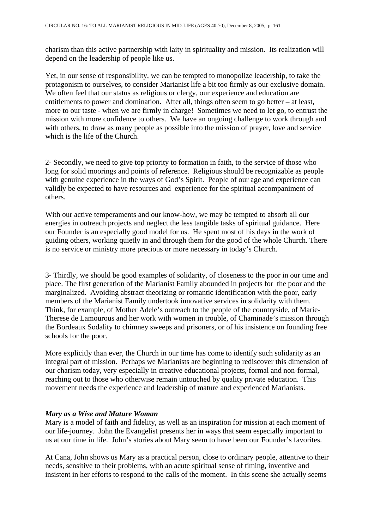charism than this active partnership with laity in spirituality and mission. Its realization will depend on the leadership of people like us.

Yet, in our sense of responsibility, we can be tempted to monopolize leadership, to take the protagonism to ourselves, to consider Marianist life a bit too firmly as our exclusive domain. We often feel that our status as religious or clergy, our experience and education are entitlements to power and domination. After all, things often seem to go better – at least, more to our taste - when we are firmly in charge! Sometimes we need to let go, to entrust the mission with more confidence to others. We have an ongoing challenge to work through and with others, to draw as many people as possible into the mission of prayer, love and service which is the life of the Church.

2- Secondly, we need to give top priority to formation in faith, to the service of those who long for solid moorings and points of reference. Religious should be recognizable as people with genuine experience in the ways of God's Spirit. People of our age and experience can validly be expected to have resources and experience for the spiritual accompaniment of others.

With our active temperaments and our know-how, we may be tempted to absorb all our energies in outreach projects and neglect the less tangible tasks of spiritual guidance. Here our Founder is an especially good model for us. He spent most of his days in the work of guiding others, working quietly in and through them for the good of the whole Church. There is no service or ministry more precious or more necessary in today's Church.

3- Thirdly, we should be good examples of solidarity, of closeness to the poor in our time and place. The first generation of the Marianist Family abounded in projects for the poor and the marginalized. Avoiding abstract theorizing or romantic identification with the poor, early members of the Marianist Family undertook innovative services in solidarity with them. Think, for example, of Mother Adele's outreach to the people of the countryside, of Marie-Therese de Lamourous and her work with women in trouble, of Chaminade's mission through the Bordeaux Sodality to chimney sweeps and prisoners, or of his insistence on founding free schools for the poor.

More explicitly than ever, the Church in our time has come to identify such solidarity as an integral part of mission. Perhaps we Marianists are beginning to rediscover this dimension of our charism today, very especially in creative educational projects, formal and non-formal, reaching out to those who otherwise remain untouched by quality private education. This movement needs the experience and leadership of mature and experienced Marianists.

#### *Mary as a Wise and Mature Woman*

Mary is a model of faith and fidelity, as well as an inspiration for mission at each moment of our life-journey. John the Evangelist presents her in ways that seem especially important to us at our time in life. John's stories about Mary seem to have been our Founder's favorites.

At Cana, John shows us Mary as a practical person, close to ordinary people, attentive to their needs, sensitive to their problems, with an acute spiritual sense of timing, inventive and insistent in her efforts to respond to the calls of the moment. In this scene she actually seems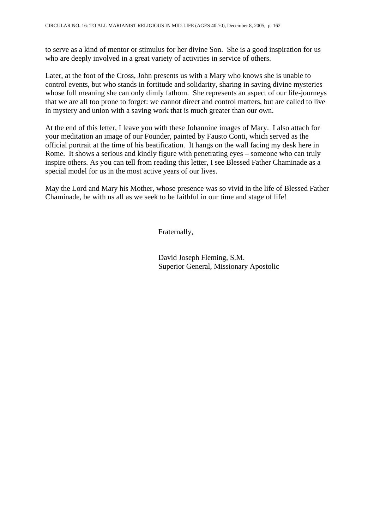to serve as a kind of mentor or stimulus for her divine Son. She is a good inspiration for us who are deeply involved in a great variety of activities in service of others.

Later, at the foot of the Cross, John presents us with a Mary who knows she is unable to control events, but who stands in fortitude and solidarity, sharing in saving divine mysteries whose full meaning she can only dimly fathom. She represents an aspect of our life-journeys that we are all too prone to forget: we cannot direct and control matters, but are called to live in mystery and union with a saving work that is much greater than our own.

At the end of this letter, I leave you with these Johannine images of Mary. I also attach for your meditation an image of our Founder, painted by Fausto Conti, which served as the official portrait at the time of his beatification. It hangs on the wall facing my desk here in Rome. It shows a serious and kindly figure with penetrating eyes – someone who can truly inspire others. As you can tell from reading this letter, I see Blessed Father Chaminade as a special model for us in the most active years of our lives.

May the Lord and Mary his Mother, whose presence was so vivid in the life of Blessed Father Chaminade, be with us all as we seek to be faithful in our time and stage of life!

Fraternally,

 David Joseph Fleming, S.M. Superior General, Missionary Apostolic